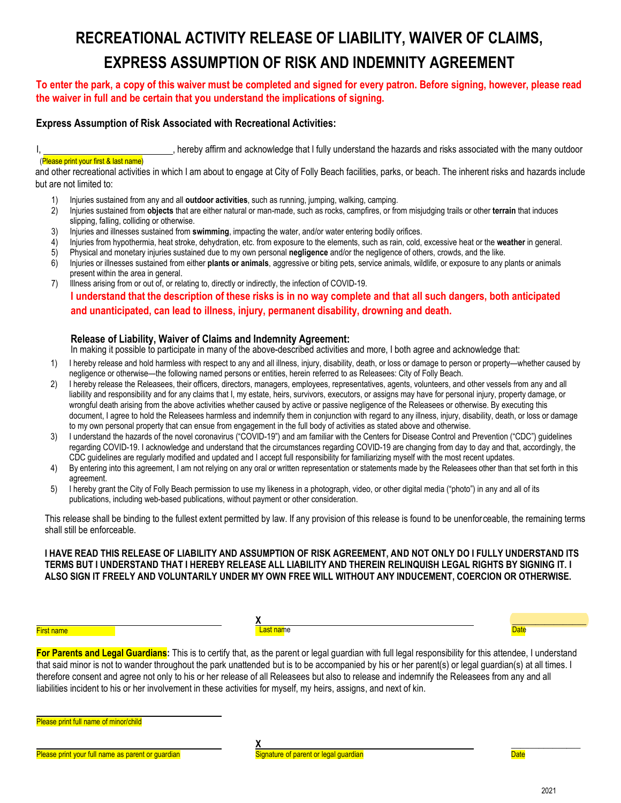# **RECREATIONAL ACTIVITY RELEASE OF LIABILITY, WAIVER OF CLAIMS, EXPRESS ASSUMPTION OF RISK AND INDEMNITY AGREEMENT**

## **To enter the park, a copy of this waiver must be completed and signed for every patron. Before signing, however, please read the waiver in full and be certain that you understand the implications of signing.**

## **Express Assumption of Risk Associated with Recreational Activities:**

I, state of the acknowledge that I fully understand the hazards and risks associated with the many outdoor

#### (Please print your first & last name)

and other recreational activities in which I am about to engage at City of Folly Beach facilities, parks, or beach. The inherent risks and hazards include but are not limited to:

- 1) Injuries sustained from any and all **outdoor activities**, such as running, jumping, walking, camping.
- 2) Injuries sustained from **objects** that are either natural or man-made, such as rocks, campfires, or from misjudging trails or other **terrain** that induces slipping, falling, colliding or otherwise.
- 3) Injuries and illnesses sustained from **swimming**, impacting the water, and/or water entering bodily orifices.
- 4) Injuries from hypothermia, heat stroke, dehydration, etc. from exposure to the elements, such as rain, cold, excessive heat or the **weather** in general.
- 5) Physical and monetary injuries sustained due to my own personal **negligence** and/or the negligence of others, crowds, and the like.
- 6) Injuries or illnesses sustained from either **plants or animals**, aggressive or biting pets, service animals, wildlife, or exposure to any plants or animals present within the area in general.
- 7) Illness arising from or out of, or relating to, directly or indirectly, the infection of COVID-19.

**I understand that the description of these risks is in no way complete and that all such dangers, both anticipated and unanticipated, can lead to illness, injury, permanent disability, drowning and death.**

### **Release of Liability, Waiver of Claims and Indemnity Agreement:**

In making it possible to participate in many of the above-described activities and more, I both agree and acknowledge that:

- 1) I hereby release and hold harmless with respect to any and all illness, injury, disability, death, or loss or damage to person or property—whether caused by negligence or otherwise—the following named persons or entities, herein referred to as Releasees: City of Folly Beach.
- 2) I hereby release the Releasees, their officers, directors, managers, employees, representatives, agents, volunteers, and other vessels from any and all liability and responsibility and for any claims that I, my estate, heirs, survivors, executors, or assigns may have for personal injury, property damage, or wrongful death arising from the above activities whether caused by active or passive negligence of the Releasees or otherwise. By executing this document, I agree to hold the Releasees harmless and indemnify them in conjunction with regard to any illness, injury, disability, death, or loss or damage to my own personal property that can ensue from engagement in the full body of activities as stated above and otherwise.
- 3) I understand the hazards of the novel coronavirus ("COVID-19") and am familiar with the Centers for Disease Control and Prevention ("CDC") guidelines regarding COVID-19. I acknowledge and understand that the circumstances regarding COVID-19 are changing from day to day and that, accordingly, the CDC guidelines are regularly modified and updated and I accept full responsibility for familiarizing myself with the most recent updates.
- 4) By entering into this agreement, I am not relying on any oral or written representation or statements made by the Releasees other than that set forth in this agreement.
- 5) I hereby grant the City of Folly Beach permission to use my likeness in a photograph, video, or other digital media ("photo") in any and all of its publications, including web-based publications, without payment or other consideration.

This release shall be binding to the fullest extent permitted by law. If any provision of this release is found to be unenforceable, the remaining terms shall still be enforceable.

**I HAVE READ THIS RELEASE OF LIABILITY AND ASSUMPTION OF RISK AGREEMENT, AND NOT ONLY DO I FULLY UNDERSTAND ITS TERMS BUT I UNDERSTAND THAT I HEREBY RELEASE ALL LIABILITY AND THEREIN RELINQUISH LEGAL RIGHTS BY SIGNING IT. I ALSO SIGN IT FREELY AND VOLUNTARILY UNDER MY OWN FREE WILL WITHOUT ANY INDUCEMENT, COERCION OR OTHERWISE.** 

#### First name

**X** <mark>Last nam</mark>e

**For Parents and Legal Guardians:** This is to certify that, as the parent or legal guardian with full legal responsibility for this attendee, I understand that said minor is not to wander throughout the park unattended but is to be accompanied by his or her parent(s) or legal guardian(s) at all times. I therefore consent and agree not only to his or her release of all Releasees but also to release and indemnify the Releasees from any and all liabilities incident to his or her involvement in these activities for myself, my heirs, assigns, and next of kin.

Please print full name of minor/child

**Thease print your full name as parent or guardian example and Signature of parent or legal guardian <b>Date** Date Date



**Date** 

 $\overline{\phantom{a}}$  , where  $\overline{\phantom{a}}$